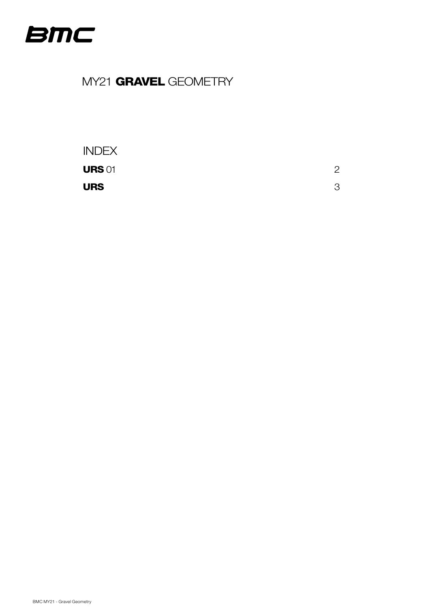<span id="page-0-0"></span>

# MY21 GRAVEL GEOMETRY

### INDEX

**URS** 01  $\hspace{1.5cm}$  2

 $URS$  3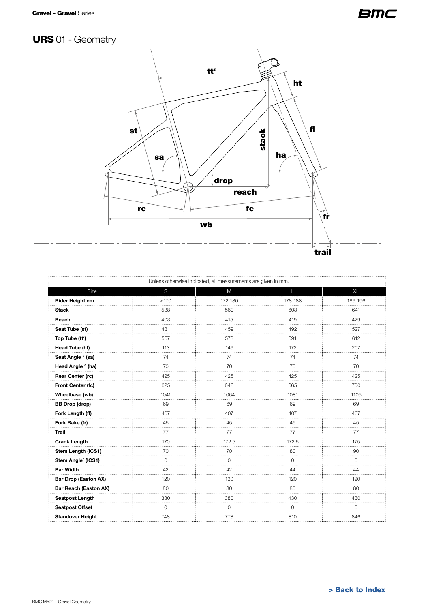### **BMC**

# <span id="page-1-0"></span>URS 01 - Geometry



| Unless otherwise indicated, all measurements are given in mm. |         |             |             |           |  |  |
|---------------------------------------------------------------|---------|-------------|-------------|-----------|--|--|
| Size                                                          | S       | M           | L           | <b>XL</b> |  |  |
| <b>Rider Height cm</b>                                        | < 170   | 172-180     | 178-188     | 186-196   |  |  |
| <b>Stack</b>                                                  | 538     | 569         | 603         | 641       |  |  |
| Reach                                                         | 403     | 415         | 419         | 429       |  |  |
| Seat Tube (st)                                                | 431     | 459         | 492         | 527       |  |  |
| Top Tube (tt')                                                | 557     | 578         | 591         | 612       |  |  |
| Head Tube (ht)                                                | 113     | 146         | 172         | 207       |  |  |
| Seat Angle ° (sa)                                             | 74      | 74          | 74          | 74        |  |  |
| Head Angle ° (ha)                                             | 70<br>. | 70          | 70          | 70        |  |  |
| Rear Center (rc)                                              | 425     | 425         | 425         | 425       |  |  |
| Front Center (fc)                                             | 625     | 648         | 665         | 700       |  |  |
| Wheelbase (wb)                                                | 1041    | 1064        | 1081        | 1105      |  |  |
| <b>BB Drop (drop)</b>                                         | 69      | 69          | 69          | 69        |  |  |
| Fork Length (fl)                                              | 407     | 407         | 407         | 407       |  |  |
| Fork Rake (fr)                                                | 45      | 45          | 45          | 45        |  |  |
| Trail                                                         | 77      | 77          | 77          | 77        |  |  |
| <b>Crank Length</b>                                           | 170     | 172.5       | 172.5       | 175       |  |  |
| Stem Length (ICS1)                                            | 70      | 70          | 80          | 90        |  |  |
| Stem Angle <sup>®</sup> (ICS1)                                | 0       | $\mathbf 0$ | $\mathbf 0$ | 0         |  |  |
| <b>Bar Width</b>                                              | 42      | 42          | 44          | 44        |  |  |
| <b>Bar Drop (Easton AX)</b>                                   | 120     | 120         | 120         | 120       |  |  |
| <b>Bar Reach (Easton AX)</b>                                  | 80      | 80          | 80          | 80        |  |  |
| <b>Seatpost Length</b>                                        | 330     | 380         | 430         | 430       |  |  |
| <b>Seatpost Offset</b>                                        | 0       | 0           | $\Omega$    | $\Omega$  |  |  |
| <b>Standover Height</b>                                       | 748     | 778         | 810         | 846       |  |  |